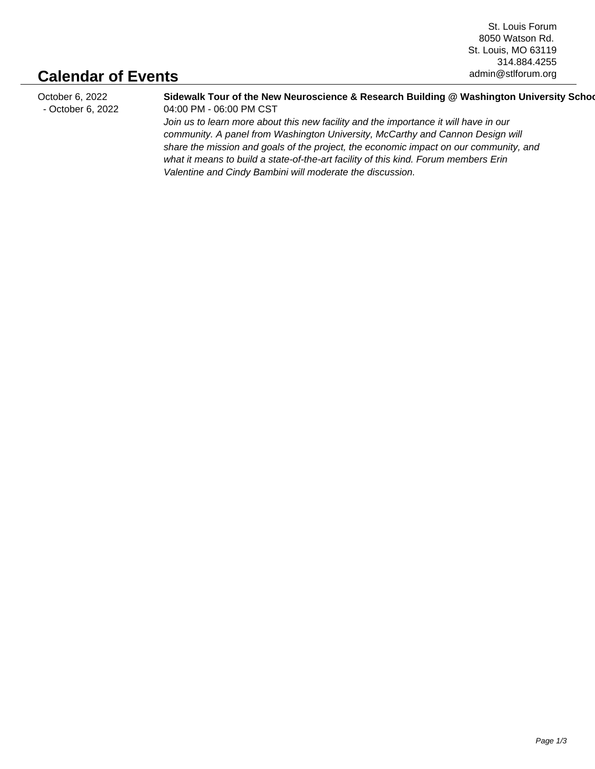St. Louis Forum 8050 Watson Rd. St. Louis, MO 63119 314.884.4255 admin@stlforum.org

## **Calendar of Events**

October 6, 2022 - October 6, 2022 Sidewalk Tour of the New Neuroscience & Research Building @ Washington University Scho 04:00 PM - 06:00 PM CST Join us to learn more about this new facility and the importance it will have in our community. A panel from Washington University, McCarthy and Cannon Design will share the mission and goals of the project, the economic impact on our community, and what it means to build a state-of-the-art facility of this kind. Forum members Erin Valentine and Cindy Bambini will moderate the discussion.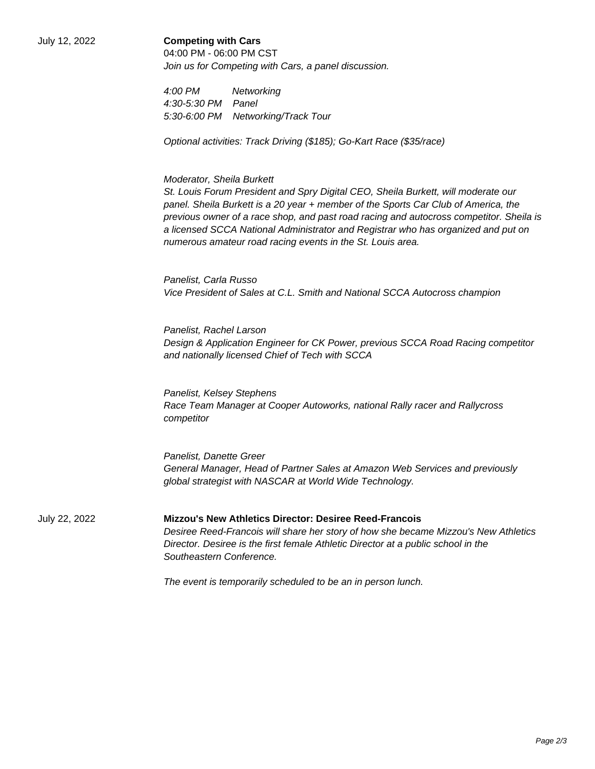## July 12, 2022 **Competing with Cars**

04:00 PM - 06:00 PM CST Join us for Competing with Cars, a panel discussion.

4:00 PM Networking 4:30-5:30 PM Panel 5:30-6:00 PM Networking/Track Tour

Optional activities: Track Driving (\$185); Go-Kart Race (\$35/race)

## Moderator, Sheila Burkett

 St. Louis Forum President and Spry Digital CEO, Sheila Burkett, will moderate our panel. Sheila Burkett is a 20 year + member of the Sports Car Club of America, the previous owner of a race shop, and past road racing and autocross competitor. Sheila is a licensed SCCA National Administrator and Registrar who has organized and put on numerous amateur road racing events in the St. Louis area.

 Panelist, Carla Russo Vice President of Sales at C.L. Smith and National SCCA Autocross champion

 Panelist, Rachel Larson Design & Application Engineer for CK Power, previous SCCA Road Racing competitor and nationally licensed Chief of Tech with SCCA

 Panelist, Kelsey Stephens Race Team Manager at Cooper Autoworks, national Rally racer and Rallycross competitor

 Panelist, Danette Greer General Manager, Head of Partner Sales at Amazon Web Services and previously global strategist with NASCAR at World Wide Technology.

July 22, 2022 **Mizzou's New Athletics Director: Desiree Reed-Francois** Desiree Reed-Francois will share her story of how she became Mizzou's New Athletics Director. Desiree is the first female Athletic Director at a public school in the Southeastern Conference.

The event is temporarily scheduled to be an in person lunch.